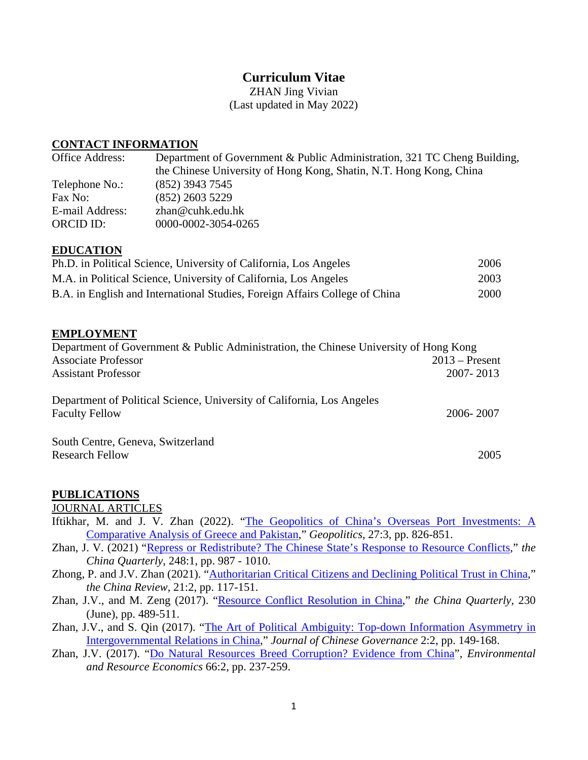# **Curriculum Vitae**

ZHAN Jing Vivian (Last updated in May 2022)

#### **CONTACT INFORMATION**

| <b>Office Address:</b> | Department of Government & Public Administration, 321 TC Cheng Building, |
|------------------------|--------------------------------------------------------------------------|
|                        | the Chinese University of Hong Kong, Shatin, N.T. Hong Kong, China       |
| Telephone No.:         | $(852)$ 3943 7545                                                        |
| Fax No:                | $(852)$ 2603 5229                                                        |
| E-mail Address:        | zhan@cuhk.edu.hk                                                         |
| <b>ORCID ID:</b>       | 0000-0002-3054-0265                                                      |
|                        |                                                                          |

# **EDUCATION**

| Ph.D. in Political Science, University of California, Los Angeles           | 2006 |
|-----------------------------------------------------------------------------|------|
| M.A. in Political Science, University of California, Los Angeles            | 2003 |
| B.A. in English and International Studies, Foreign Affairs College of China | 2000 |

#### **EMPLOYMENT**

| Department of Government & Public Administration, the Chinese University of Hong Kong           |                  |  |
|-------------------------------------------------------------------------------------------------|------------------|--|
| <b>Associate Professor</b>                                                                      | $2013$ – Present |  |
| <b>Assistant Professor</b>                                                                      | 2007-2013        |  |
| Department of Political Science, University of California, Los Angeles<br><b>Faculty Fellow</b> | 2006-2007        |  |
| South Centre, Geneva, Switzerland<br><b>Research Fellow</b>                                     | 2005             |  |

#### **PUBLICATIONS**

JOURNAL ARTICLES

- Iftikhar, M. and J. V. Zhan (2022). "The Geopolitics of China's Overseas Port Investments: A [Comparative Analysis of Greece and Pakistan,](https://www.tandfonline.com/doi/full/10.1080/14650045.2020.1832473)" *Geopolitics*, 27:3, pp. 826-851.
- Zhan, J. V. (2021) ["Repress or Redistribute? The Chinese State's Response to Resource Conflicts,](http://dx.doi.org/10.1017/S0305741021000047)" *the China Quarterly*, 248:1, pp. 987 - 1010.
- Zhong, P. and J.V. Zhan (2021). ["Authoritarian Critical Citizens and Declining Political Trust in China,](https://www.jstor.org/stable/27019012)" *the China Review,* 21:2, pp. 117-151.
- Zhan, J.V., and M. Zeng (2017). ["Resource Conflict Resolution in China,](https://doi.org/10.1017/S030574101700056X)" *the China Quarterly,* 230 (June), pp. 489-511.
- Zhan, J.V., and S. Qin (2017). "The Art of Political Ambiguity: Top-down Information Asymmetry in [Intergovernmental Relations in China,](http://dx.doi.org/10.1080/23812346.2016.1277507)" *Journal of Chinese Governance* 2:2, pp. 149-168.
- Zhan, J.V. (2017). ["Do Natural Resources Breed Corruption? Evidence from China"](http://link.springer.com/article/10.1007/s10640-015-9947-4), *Environmental and Resource Economics* 66:2, pp. 237-259.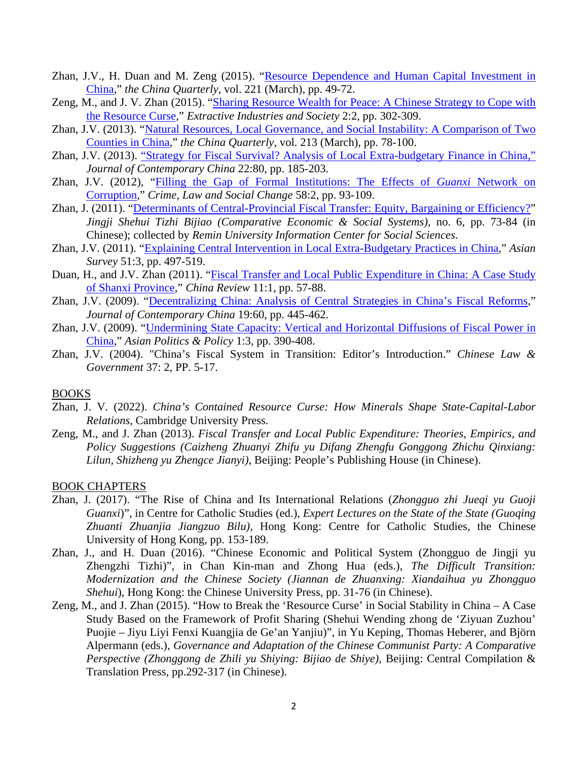- Zhan, J.V., H. Duan and M. Zeng (2015). "Resource Dependence and Human Capital Investment in [China,](http://journals.cambridge.org/action/displayAbstract?fromPage=online&aid=9554224&fulltextType=RA&fileId=S0305741014001556)" *the China Quarterly*, vol. 221 (March), pp. 49-72.
- Zeng, M., and J. V. Zhan (2015). ["Sharing Resource Wealth for Peace: A Chinese Strategy to Cope with](http://dx.doi.org/10.1016/j.exis.2015.02.004)  [the Resource Curse,](http://dx.doi.org/10.1016/j.exis.2015.02.004)" *Extractive Industries and Society* 2:2, pp. 302-309.
- Zhan, J.V. (2013). ["Natural Resources, Local Governance, and Social Instability: A Comparison of Two](http://journals.cambridge.org/action/displayAbstract?fromPage=online&aid=8867872)  [Counties in China,](http://journals.cambridge.org/action/displayAbstract?fromPage=online&aid=8867872)" *the China Quarterly,* vol. 213 (March), pp. 78-100.
- Zhan, J.V. (2013). ["Strategy for Fiscal Survival? Analysis of Local Extra-budgetary Finance in China,"](http://www.tandfonline.com/doi/full/10.1080/10670564.2012.734077#.UZCq0aI6KSo) *Journal of Contemporary China* 22:80, pp. 185-203.
- Zhan, J.V. (2012), ["Filling the Gap of Formal Institutions: The Effects of](http://link.springer.com/article/10.1007%2Fs10611-012-9379-9) *Guanxi* Network on [Corruption,](http://link.springer.com/article/10.1007%2Fs10611-012-9379-9)" *Crime, Law and Social Change* 58:2, pp. 93-109.
- Zhan, J. (2011). ["Determinants of Central-Provincial Fiscal Transfer: Equity, Bargaining or Efficiency?"](http://www.cnki.com.cn/Article/CJFDTOTAL-JJSH201106011.htm) *Jingji Shehui Tizhi Bijiao (Comparative Economic & Social Systems),* no. 6, pp. 73-84 (in Chinese); collected by *Remin University Information Center for Social Sciences*.
- Zhan, J.V. (2011). "Explaining Central Intervention in [Local Extra-Budgetary Practices in China,](http://www.jstor.org/stable/10.1525/as.2011.51.3.497)" *Asian Survey* 51:3, pp. 497-519.
- Duan, H., and J.V. Zhan (2011). ["Fiscal Transfer and Local Public Expenditure in China: A Case Study](http://www.jstor.org/stable/23462197)  [of Shanxi Province,](http://www.jstor.org/stable/23462197)" *China Review* 11:1, pp. 57-88.
- Zhan, J.V. (2009). ["Decentralizing China: Analysis of Central Strategies in China's Fiscal Reforms,](http://www.tandfonline.com/doi/abs/10.1080/10670560902770628)" *Journal of Contemporary China* 19:60, pp. 445-462.
- Zhan, J.V. (2009). ["Undermining State Capacity: Vertical and Horizontal Diffusions of Fiscal Power in](http://onlinelibrary.wiley.com/doi/10.1111/j.1943-0787.2009.01132.x/full)  [China,](http://onlinelibrary.wiley.com/doi/10.1111/j.1943-0787.2009.01132.x/full)" *Asian Politics & Policy* 1:3, pp. 390-408.
- Zhan, J.V. (2004). "China's Fiscal System in Transition: Editor's Introduction." *Chinese Law & Government* 37: 2, PP. 5-17.

#### BOOKS

- Zhan, J. V. (2022). *China's Contained Resource Curse: How Minerals Shape State-Capital-Labor Relations*, Cambridge University Press.
- Zeng, M., and J. Zhan (2013). *Fiscal Transfer and Local Public Expenditure: Theories, Empirics, and Policy Suggestions (Caizheng Zhuanyi Zhifu yu Difang Zhengfu Gonggong Zhichu Qinxiang: Lilun, Shizheng yu Zhengce Jianyi)*, Beijing: People's Publishing House (in Chinese).

#### BOOK CHAPTERS

- Zhan, J. (2017). "The Rise of China and Its International Relations (*Zhongguo zhi Jueqi yu Guoji Guanxi*)", in Centre for Catholic Studies (ed.), *Expert Lectures on the State of the State (Guoqing Zhuanti Zhuanjia Jiangzuo Bilu)*, Hong Kong: Centre for Catholic Studies, the Chinese University of Hong Kong, pp. 153-189.
- Zhan, J., and H. Duan (2016). "Chinese Economic and Political System (Zhongguo de Jingji yu Zhengzhi Tizhi)", in Chan Kin-man and Zhong Hua (eds.), *The Difficult Transition: Modernization and the Chinese Society (Jiannan de Zhuanxing: Xiandaihua yu Zhongguo Shehui*), Hong Kong: the Chinese University Press, pp. 31-76 (in Chinese).
- Zeng, M., and J. Zhan (2015). "How to Break the 'Resource Curse' in Social Stability in China A Case Study Based on the Framework of Profit Sharing (Shehui Wending zhong de 'Ziyuan Zuzhou' Puojie – Jiyu Liyi Fenxi Kuangjia de Ge'an Yanjiu)", in Yu Keping, Thomas Heberer, and Björn Alpermann (eds.), *Governance and Adaptation of the Chinese Communist Party: A Comparative Perspective (Zhonggong de Zhili yu Shiying: Bijiao de Shiye),* Beijing: Central Compilation & Translation Press, pp.292-317 (in Chinese).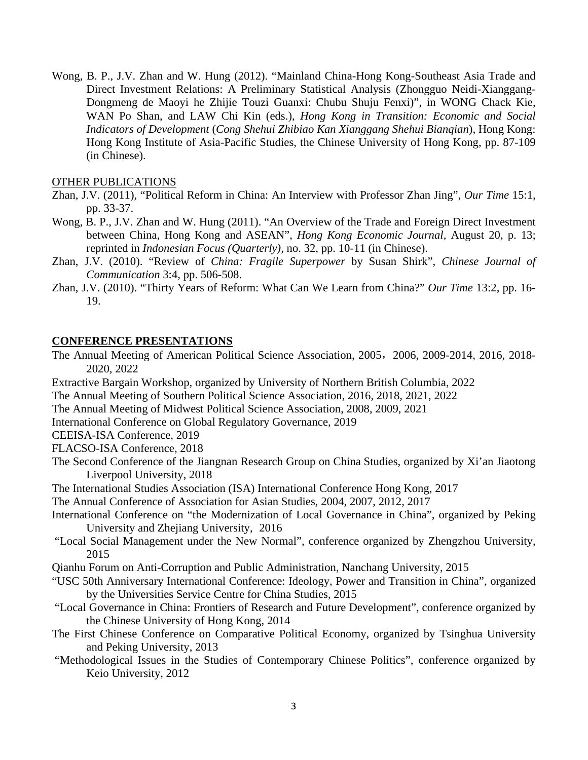Wong, B. P., J.V. Zhan and W. Hung (2012). "Mainland China-Hong Kong-Southeast Asia Trade and Direct Investment Relations: A Preliminary Statistical Analysis (Zhongguo Neidi-Xianggang-Dongmeng de Maoyi he Zhijie Touzi Guanxi: Chubu Shuju Fenxi)", in WONG Chack Kie, WAN Po Shan, and LAW Chi Kin (eds.), *Hong Kong in Transition: Economic and Social Indicators of Development* (*Cong Shehui Zhibiao Kan Xianggang Shehui Bianqian*), Hong Kong: Hong Kong Institute of Asia-Pacific Studies, the Chinese University of Hong Kong, pp. 87-109 (in Chinese).

#### OTHER PUBLICATIONS

- Zhan, J.V. (2011), "Political Reform in China: An Interview with Professor Zhan Jing", *Our Time* 15:1, pp. 33-37.
- Wong, B. P., J.V. Zhan and W. Hung (2011). "An Overview of the Trade and Foreign Direct Investment between China, Hong Kong and ASEAN", *Hong Kong Economic Journal,* August 20, p. 13; reprinted in *Indonesian Focus (Quarterly),* no. 32, pp. 10-11 (in Chinese).
- Zhan, J.V. (2010). "Review of *China: Fragile Superpower* by Susan Shirk", *Chinese Journal of Communication* 3:4, pp. 506-508.
- Zhan, J.V. (2010). "Thirty Years of Reform: What Can We Learn from China?" *Our Time* 13:2, pp. 16- 19.

#### **CONFERENCE PRESENTATIONS**

The Annual Meeting of American Political Science Association, 2005,2006, 2009-2014, 2016, 2018- 2020, 2022

Extractive Bargain Workshop, organized by University of Northern British Columbia, 2022

- The Annual Meeting of Southern Political Science Association, 2016, 2018, 2021, 2022
- The Annual Meeting of Midwest Political Science Association, 2008, 2009, 2021

International Conference on Global Regulatory Governance, 2019

CEEISA-ISA Conference, 2019

FLACSO-ISA Conference, 2018

- The Second Conference of the Jiangnan Research Group on China Studies, organized by Xi'an Jiaotong Liverpool University, 2018
- The International Studies Association (ISA) International Conference Hong Kong, 2017

The Annual Conference of Association for Asian Studies, 2004, 2007, 2012, 2017

- International Conference on "the Modernization of Local Governance in China", organized by Peking University and Zhejiang University, 2016
- "Local Social Management under the New Normal", conference organized by Zhengzhou University, 2015

Qianhu Forum on Anti-Corruption and Public Administration, Nanchang University, 2015

- "USC 50th Anniversary International Conference: Ideology, Power and Transition in China", organized by the Universities Service Centre for China Studies, 2015
- "Local Governance in China: Frontiers of Research and Future Development", conference organized by the Chinese University of Hong Kong, 2014
- The First Chinese Conference on Comparative Political Economy, organized by Tsinghua University and Peking University, 2013
- "Methodological Issues in the Studies of Contemporary Chinese Politics", conference organized by Keio University, 2012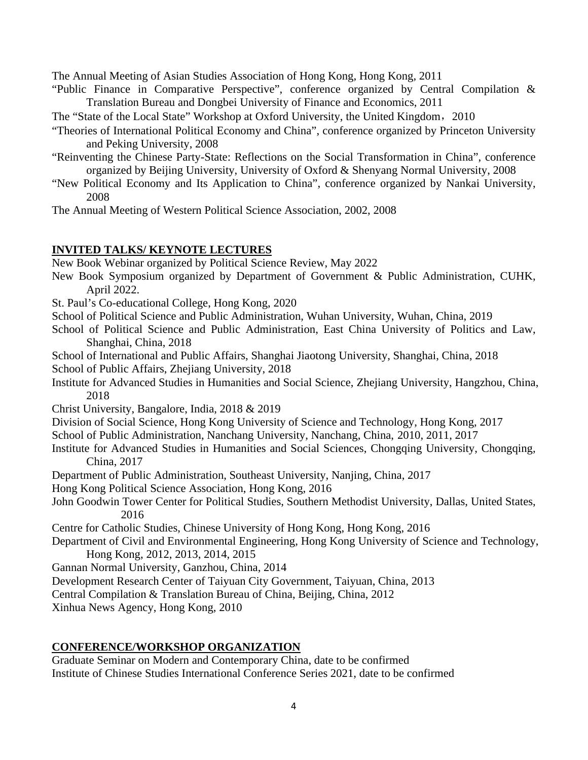The Annual Meeting of Asian Studies Association of Hong Kong, Hong Kong, 2011

- "Public Finance in Comparative Perspective", conference organized by Central Compilation & Translation Bureau and Dongbei University of Finance and Economics, 2011
- The "State of the Local State" Workshop at Oxford University, the United Kingdom,2010
- "Theories of International Political Economy and China", conference organized by Princeton University and Peking University, 2008
- "Reinventing the Chinese Party-State: Reflections on the Social Transformation in China", conference organized by Beijing University, University of Oxford & Shenyang Normal University, 2008
- "New Political Economy and Its Application to China", conference organized by Nankai University, 2008
- The Annual Meeting of Western Political Science Association, 2002, 2008

# **INVITED TALKS/ KEYNOTE LECTURES**

New Book Webinar organized by Political Science Review, May 2022

- New Book Symposium organized by Department of Government & Public Administration, CUHK, April 2022.
- St. Paul's Co-educational College, Hong Kong, 2020
- School of Political Science and Public Administration, Wuhan University, Wuhan, China, 2019
- School of Political Science and Public Administration, East China University of Politics and Law, Shanghai, China, 2018
- School of International and Public Affairs, Shanghai Jiaotong University, Shanghai, China, 2018 School of Public Affairs, Zhejiang University, 2018
- Institute for Advanced Studies in Humanities and Social Science, Zhejiang University, Hangzhou, China, 2018
- Christ University, Bangalore, India, 2018 & 2019
- Division of Social Science, Hong Kong University of Science and Technology, Hong Kong, 2017
- School of Public Administration, Nanchang University, Nanchang, China, 2010, 2011, 2017
- Institute for Advanced Studies in Humanities and Social Sciences, Chongqing University, Chongqing, China, 2017
- Department of Public Administration, Southeast University, Nanjing, China, 2017
- Hong Kong Political Science Association, Hong Kong, 2016
- John Goodwin Tower Center for Political Studies, Southern Methodist University, Dallas, United States, 2016

Centre for Catholic Studies, Chinese University of Hong Kong, Hong Kong, 2016

- Department of Civil and Environmental Engineering, Hong Kong University of Science and Technology, Hong Kong, 2012, 2013, 2014, 2015
- Gannan Normal University, Ganzhou, China, 2014
- Development Research Center of Taiyuan City Government, Taiyuan, China, 2013
- Central Compilation & Translation Bureau of China, Beijing, China, 2012

Xinhua News Agency, Hong Kong, 2010

# **CONFERENCE/WORKSHOP ORGANIZATION**

Graduate Seminar on Modern and Contemporary China, date to be confirmed Institute of Chinese Studies International Conference Series 2021, date to be confirmed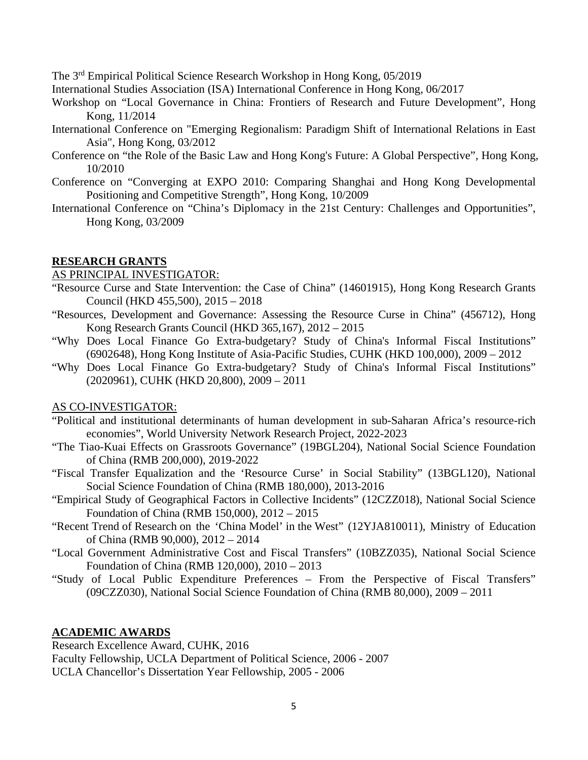The 3rd Empirical Political Science Research Workshop in Hong Kong, 05/2019

International Studies Association (ISA) International Conference in Hong Kong, 06/2017

- Workshop on "Local Governance in China: Frontiers of Research and Future Development", Hong Kong, 11/2014
- International Conference on "Emerging Regionalism: Paradigm Shift of International Relations in East Asia", Hong Kong, 03/2012
- Conference on "the Role of the Basic Law and Hong Kong's Future: A Global Perspective", Hong Kong, 10/2010
- Conference on "Converging at EXPO 2010: Comparing Shanghai and Hong Kong Developmental Positioning and Competitive Strength", Hong Kong, 10/2009
- International Conference on "China's Diplomacy in the 21st Century: Challenges and Opportunities", Hong Kong, 03/2009

# **RESEARCH GRANTS**

# AS PRINCIPAL INVESTIGATOR:

- "Resource Curse and State Intervention: the Case of China" (14601915), Hong Kong Research Grants Council (HKD 455,500), 2015 – 2018
- "Resources, Development and Governance: Assessing the Resource Curse in China" (456712), Hong Kong Research Grants Council (HKD 365,167), 2012 – 2015
- "Why Does Local Finance Go Extra-budgetary? Study of China's Informal Fiscal Institutions" (6902648), Hong Kong Institute of Asia-Pacific Studies, CUHK (HKD 100,000), 2009 – 2012
- "Why Does Local Finance Go Extra-budgetary? Study of China's Informal Fiscal Institutions" (2020961), CUHK (HKD 20,800), 2009 – 2011

# AS CO-INVESTIGATOR:

- "Political and institutional determinants of human development in sub-Saharan Africa's resource-rich economies", World University Network Research Project, 2022-2023
- "The Tiao-Kuai Effects on Grassroots Governance" (19BGL204), National Social Science Foundation of China (RMB 200,000), 2019-2022
- "Fiscal Transfer Equalization and the 'Resource Curse' in Social Stability" (13BGL120), National Social Science Foundation of China (RMB 180,000), 2013-2016
- "Empirical Study of Geographical Factors in Collective Incidents" (12CZZ018), National Social Science Foundation of China (RMB 150,000), 2012 – 2015
- "Recent Trend of Research on the 'China Model' in the West" (12YJA810011), Ministry of Education of China (RMB 90,000), 2012 – 2014
- "Local Government Administrative Cost and Fiscal Transfers" (10BZZ035), National Social Science Foundation of China (RMB 120,000), 2010 – 2013
- "Study of Local Public Expenditure Preferences From the Perspective of Fiscal Transfers" (09CZZ030), National Social Science Foundation of China (RMB 80,000), 2009 – 2011

# **ACADEMIC AWARDS**

Research Excellence Award, CUHK, 2016 Faculty Fellowship, UCLA Department of Political Science, 2006 - 2007 UCLA Chancellor's Dissertation Year Fellowship, 2005 - 2006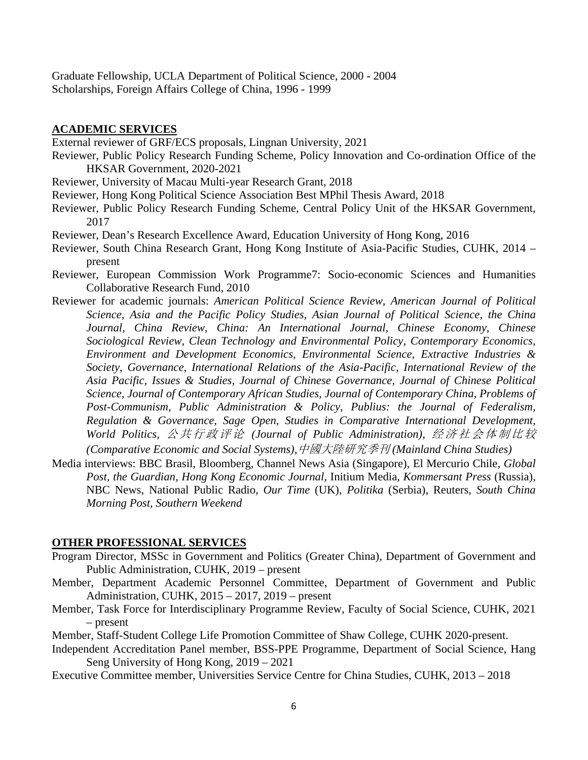Graduate Fellowship, UCLA Department of Political Science, 2000 - 2004 Scholarships, Foreign Affairs College of China, 1996 - 1999

#### **ACADEMIC SERVICES**

External reviewer of GRF/ECS proposals, Lingnan University, 2021

- Reviewer, Public Policy Research Funding Scheme, Policy Innovation and Co-ordination Office of the HKSAR Government, 2020-2021
- Reviewer, University of Macau Multi-year Research Grant, 2018
- Reviewer, Hong Kong Political Science Association Best MPhil Thesis Award, 2018
- Reviewer, Public Policy Research Funding Scheme, Central Policy Unit of the HKSAR Government, 2017
- Reviewer, Dean's Research Excellence Award, Education University of Hong Kong, 2016
- Reviewer, South China Research Grant, Hong Kong Institute of Asia-Pacific Studies, CUHK, 2014 present
- Reviewer, European Commission Work Programme7: Socio-economic Sciences and Humanities Collaborative Research Fund, 2010
- Reviewer for academic journals: *American Political Science Review, American Journal of Political Science, Asia and the Pacific Policy Studies, Asian Journal of Political Science, the China Journal, China Review, China: An International Journal, Chinese Economy, Chinese Sociological Review, Clean Technology and Environmental Policy, Contemporary Economics, Environment and Development Economics, Environmental Science, Extractive Industries & Society, Governance, International Relations of the Asia-Pacific, International Review of the Asia Pacific, Issues & Studies, Journal of Chinese Governance, Journal of Chinese Political Science, Journal of Contemporary African Studies, Journal of Contemporary China, Problems of Post-Communism, Public Administration & Policy, Publius: the Journal of Federalism, Regulation & Governance, Sage Open, Studies in Comparative International Development, World Politics,* 公共行政评论 *(Journal of Public Administration),* 经济社会体制比较 *(Comparative Economic and Social Systems),*中國大陸研究季刊 *(Mainland China Studies)*
- Media interviews: BBC Brasil, Bloomberg, Channel News Asia (Singapore), El Mercurio Chile, *Global Post, the Guardian, Hong Kong Economic Journal,* Initium Media, *Kommersant Press* (Russia), NBC News, National Public Radio, *Our Time* (UK)*, Politika* (Serbia), Reuters*, South China Morning Post, Southern Weekend*

# **OTHER PROFESSIONAL SERVICES**

- Program Director, MSSc in Government and Politics (Greater China), Department of Government and Public Administration, CUHK, 2019 – present
- Member, Department Academic Personnel Committee, Department of Government and Public Administration, CUHK, 2015 – 2017, 2019 – present
- Member, Task Force for Interdisciplinary Programme Review, Faculty of Social Science, CUHK, 2021 – present
- Member, Staff-Student College Life Promotion Committee of Shaw College, CUHK 2020-present.
- Independent Accreditation Panel member, BSS-PPE Programme, Department of Social Science, Hang Seng University of Hong Kong, 2019 – 2021
- Executive Committee member, Universities Service Centre for China Studies, CUHK, 2013 2018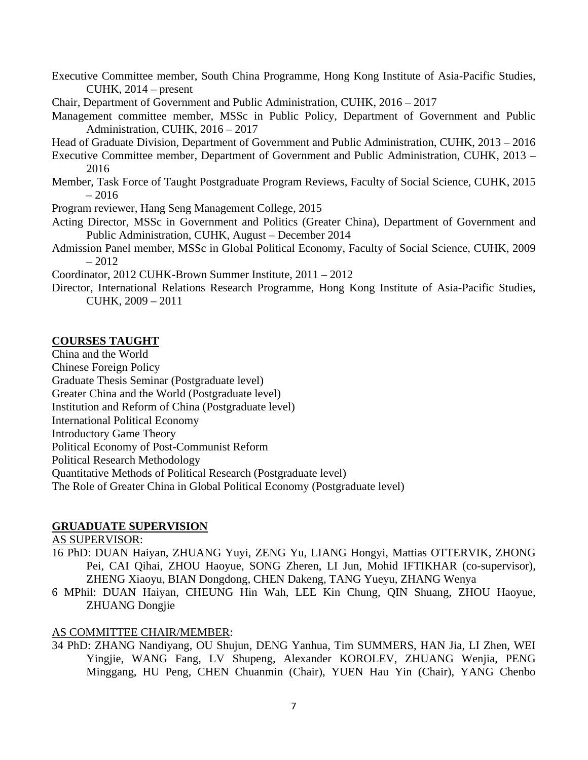Executive Committee member, South China Programme, Hong Kong Institute of Asia-Pacific Studies, CUHK,  $2014$  – present

Chair, Department of Government and Public Administration, CUHK, 2016 – 2017

Management committee member, MSSc in Public Policy, Department of Government and Public Administration, CUHK, 2016 – 2017

Head of Graduate Division, Department of Government and Public Administration, CUHK, 2013 – 2016

Executive Committee member, Department of Government and Public Administration, CUHK, 2013 – 2016

Member, Task Force of Taught Postgraduate Program Reviews, Faculty of Social Science, CUHK, 2015 – 2016

Program reviewer, Hang Seng Management College, 2015

Acting Director, MSSc in Government and Politics (Greater China), Department of Government and Public Administration, CUHK, August – December 2014

Admission Panel member, MSSc in Global Political Economy, Faculty of Social Science, CUHK, 2009  $-2012$ 

Coordinator, 2012 CUHK-Brown Summer Institute, 2011 – 2012

Director, International Relations Research Programme, Hong Kong Institute of Asia-Pacific Studies, CUHK, 2009 – 2011

# **COURSES TAUGHT**

China and the World

Chinese Foreign Policy

Graduate Thesis Seminar (Postgraduate level)

Greater China and the World (Postgraduate level)

Institution and Reform of China (Postgraduate level)

International Political Economy

Introductory Game Theory

Political Economy of Post-Communist Reform

Political Research Methodology

Quantitative Methods of Political Research (Postgraduate level)

The Role of Greater China in Global Political Economy (Postgraduate level)

# **GRUADUATE SUPERVISION**

AS SUPERVISOR:

- 16 PhD: DUAN Haiyan, ZHUANG Yuyi, ZENG Yu, LIANG Hongyi, Mattias OTTERVIK, ZHONG Pei, CAI Qihai, ZHOU Haoyue, SONG Zheren, LI Jun, Mohid IFTIKHAR (co-supervisor), ZHENG Xiaoyu, BIAN Dongdong, CHEN Dakeng, TANG Yueyu, ZHANG Wenya
- 6 MPhil: DUAN Haiyan, CHEUNG Hin Wah, LEE Kin Chung, QIN Shuang, ZHOU Haoyue, ZHUANG Dongjie

# AS COMMITTEE CHAIR/MEMBER:

34 PhD: ZHANG Nandiyang, OU Shujun, DENG Yanhua, Tim SUMMERS, HAN Jia, LI Zhen, WEI Yingjie, WANG Fang, LV Shupeng, Alexander KOROLEV, ZHUANG Wenjia, PENG Minggang, HU Peng, CHEN Chuanmin (Chair), YUEN Hau Yin (Chair), YANG Chenbo